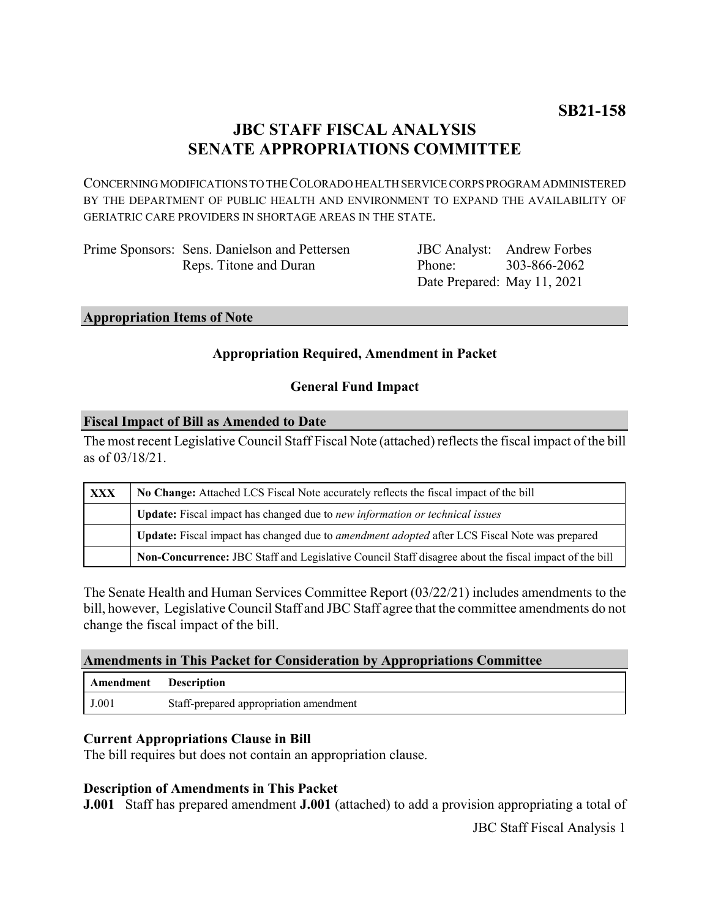# **JBC STAFF FISCAL ANALYSIS SENATE APPROPRIATIONS COMMITTEE**

CONCERNING MODIFICATIONS TO THE COLORADO HEALTH SERVICE CORPS PROGRAM ADMINISTERED BY THE DEPARTMENT OF PUBLIC HEALTH AND ENVIRONMENT TO EXPAND THE AVAILABILITY OF GERIATRIC CARE PROVIDERS IN SHORTAGE AREAS IN THE STATE.

Prime Sponsors: Sens. Danielson and Pettersen Reps. Titone and Duran

JBC Analyst: Andrew Forbes Phone: Date Prepared: May 11, 2021 303-866-2062

#### **Appropriation Items of Note**

## **Appropriation Required, Amendment in Packet**

### **General Fund Impact**

#### **Fiscal Impact of Bill as Amended to Date**

The most recent Legislative Council Staff Fiscal Note (attached) reflects the fiscal impact of the bill as of 03/18/21.

| XXX | No Change: Attached LCS Fiscal Note accurately reflects the fiscal impact of the bill                 |
|-----|-------------------------------------------------------------------------------------------------------|
|     | Update: Fiscal impact has changed due to new information or technical issues                          |
|     | Update: Fiscal impact has changed due to <i>amendment adopted</i> after LCS Fiscal Note was prepared  |
|     | Non-Concurrence: JBC Staff and Legislative Council Staff disagree about the fiscal impact of the bill |

The Senate Health and Human Services Committee Report (03/22/21) includes amendments to the bill, however, Legislative Council Staff and JBC Staff agree that the committee amendments do not change the fiscal impact of the bill.

### **Amendments in This Packet for Consideration by Appropriations Committee**

| <b>Amendment</b> Description |                                        |
|------------------------------|----------------------------------------|
| J.001                        | Staff-prepared appropriation amendment |

### **Current Appropriations Clause in Bill**

The bill requires but does not contain an appropriation clause.

### **Description of Amendments in This Packet**

**J.001** Staff has prepared amendment **J.001** (attached) to add a provision appropriating a total of

JBC Staff Fiscal Analysis 1